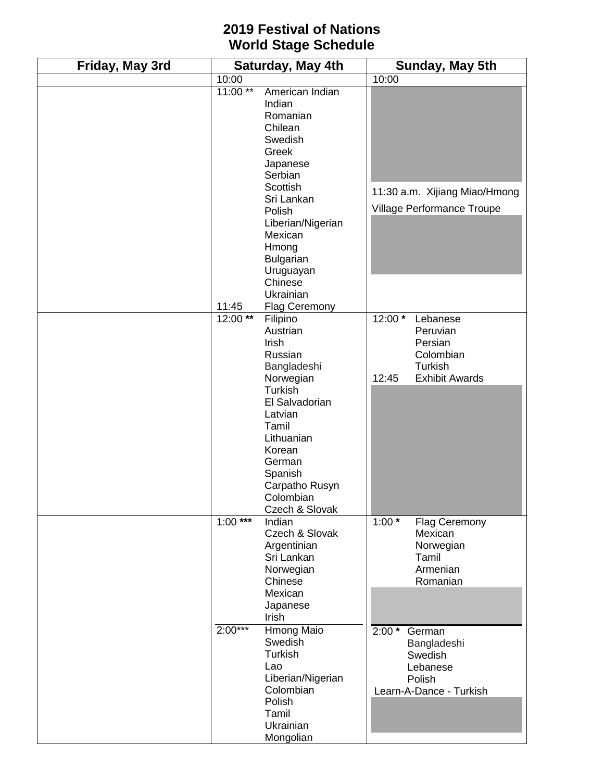## **2019 Festival of Nations World Stage Schedule**

| Friday, May 3rd | Saturday, May 4th |                                                                                                                                                                                                                     | Sunday, May 5th      |                                                                                         |
|-----------------|-------------------|---------------------------------------------------------------------------------------------------------------------------------------------------------------------------------------------------------------------|----------------------|-----------------------------------------------------------------------------------------|
|                 | 10:00             |                                                                                                                                                                                                                     | 10:00                |                                                                                         |
|                 | $11:00**$         | American Indian<br>Indian<br>Romanian<br>Chilean<br>Swedish<br>Greek<br>Japanese<br>Serbian                                                                                                                         |                      |                                                                                         |
|                 |                   | Scottish<br>Sri Lankan<br>Polish<br>Liberian/Nigerian<br>Mexican<br>Hmong<br>Bulgarian<br>Uruguayan<br>Chinese<br>Ukrainian                                                                                         |                      | 11:30 a.m. Xijiang Miao/Hmong<br>Village Performance Troupe                             |
|                 | 11:45             | <b>Flag Ceremony</b>                                                                                                                                                                                                |                      |                                                                                         |
|                 | $12:00$ **        | Filipino<br>Austrian<br>Irish<br>Russian<br>Bangladeshi<br>Norwegian<br>Turkish<br>El Salvadorian<br>Latvian<br>Tamil<br>Lithuanian<br>Korean<br>German<br>Spanish<br>Carpatho Rusyn<br>Colombian<br>Czech & Slovak | 12:00 *<br>12:45     | Lebanese<br>Peruvian<br>Persian<br>Colombian<br><b>Turkish</b><br><b>Exhibit Awards</b> |
|                 | $1:00***$         | Indian<br>Czech & Slovak<br>Argentinian<br>Sri Lankan<br>Norwegian<br>Chinese<br>Mexican<br>Japanese<br>Irish                                                                                                       | $1:00^{\frac{1}{x}}$ | Flag Ceremony<br>Mexican<br>Norwegian<br>Tamil<br>Armenian<br>Romanian                  |
|                 | $2:00***$         | Hmong Maio<br>Swedish<br>Turkish<br>Lao<br>Liberian/Nigerian<br>Colombian<br>Polish<br>Tamil<br>Ukrainian<br>Mongolian                                                                                              | $2:00*$              | German<br>Bangladeshi<br>Swedish<br>Lebanese<br>Polish<br>Learn-A-Dance - Turkish       |